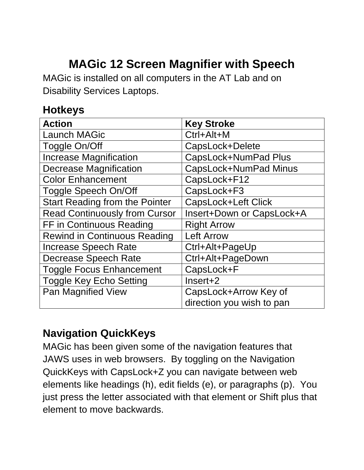# **MAGic 12 Screen Magnifier with Speech**

MAGic is installed on all computers in the AT Lab and on Disability Services Laptops.

#### **Hotkeys**

| <b>Action</b>                         | <b>Key Stroke</b>          |
|---------------------------------------|----------------------------|
| <b>Launch MAGic</b>                   | Ctrl+Alt+M                 |
| Toggle On/Off                         | CapsLock+Delete            |
| <b>Increase Magnification</b>         | CapsLock+NumPad Plus       |
| <b>Decrease Magnification</b>         | CapsLock+NumPad Minus      |
| <b>Color Enhancement</b>              | CapsLock+F12               |
| Toggle Speech On/Off                  | CapsLock+F3                |
| <b>Start Reading from the Pointer</b> | <b>CapsLock+Left Click</b> |
| <b>Read Continuously from Cursor</b>  | Insert+Down or CapsLock+A  |
| FF in Continuous Reading              | <b>Right Arrow</b>         |
| <b>Rewind in Continuous Reading</b>   | <b>Left Arrow</b>          |
| <b>Increase Speech Rate</b>           | Ctrl+Alt+PageUp            |
| <b>Decrease Speech Rate</b>           | Ctrl+Alt+PageDown          |
| <b>Toggle Focus Enhancement</b>       | CapsLock+F                 |
| <b>Toggle Key Echo Setting</b>        | $Insert+2$                 |
| Pan Magnified View                    | CapsLock+Arrow Key of      |
|                                       | direction you wish to pan  |

#### **Navigation QuickKeys**

MAGic has been given some of the navigation features that JAWS uses in web browsers. By toggling on the Navigation QuickKeys with CapsLock+Z you can navigate between web elements like headings (h), edit fields (e), or paragraphs (p). You just press the letter associated with that element or Shift plus that element to move backwards.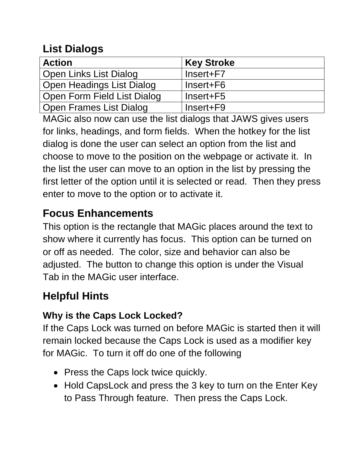### **List Dialogs**

| <b>Action</b>                    | <b>Key Stroke</b> |
|----------------------------------|-------------------|
| Open Links List Dialog           | Insert+F7         |
| <b>Open Headings List Dialog</b> | Insert+F6         |
| Open Form Field List Dialog      | Insert+F5         |
| <b>Open Frames List Dialog</b>   | Insert+F9         |

MAGic also now can use the list dialogs that JAWS gives users for links, headings, and form fields. When the hotkey for the list dialog is done the user can select an option from the list and choose to move to the position on the webpage or activate it. In the list the user can move to an option in the list by pressing the first letter of the option until it is selected or read. Then they press enter to move to the option or to activate it.

### **Focus Enhancements**

This option is the rectangle that MAGic places around the text to show where it currently has focus. This option can be turned on or off as needed. The color, size and behavior can also be adjusted. The button to change this option is under the Visual Tab in the MAGic user interface.

## **Helpful Hints**

#### **Why is the Caps Lock Locked?**

If the Caps Lock was turned on before MAGic is started then it will remain locked because the Caps Lock is used as a modifier key for MAGic. To turn it off do one of the following

- Press the Caps lock twice quickly.
- Hold CapsLock and press the 3 key to turn on the Enter Key to Pass Through feature. Then press the Caps Lock.